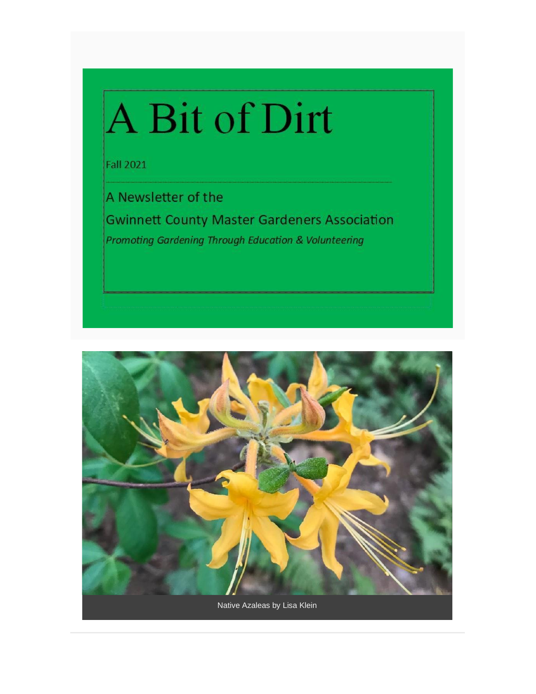# A Bit of Dirt

**Fall 2021** 

A Newsletter of the

**Gwinnett County Master Gardeners Association** Promoting Gardening Through Education & Volunteering

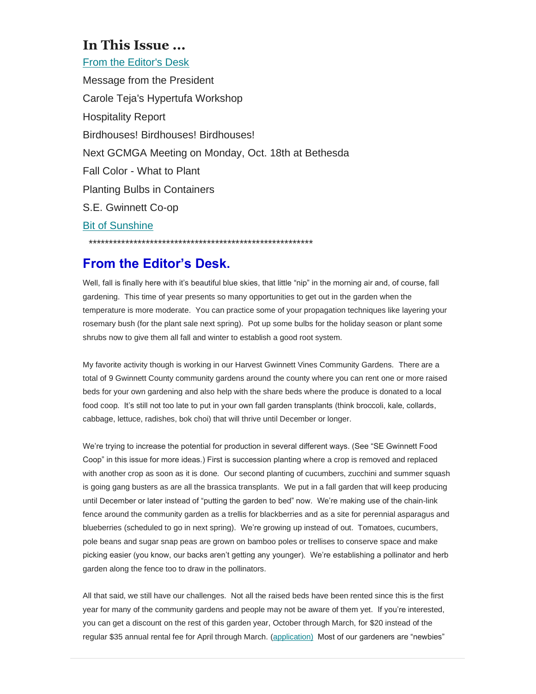#### **In This Issue ...**

From the Editor's Desk

Message from the President Carole Teja's Hypertufa Workshop Hospitality Report Birdhouses! Birdhouses! Birdhouses! Next GCMGA Meeting on Monday, Oct. 18th at Bethesda Fall Color - What to Plant Planting Bulbs in Containers S.E. Gwinnett Co-op Bit of Sunshine \*\*\*\*\*\*\*\*\*\*\*\*\*\*\*\*\*\*\*\*\*\*\*\*\*\*\*\*\*\*\*\*\*\*\*\*\*\*\*\*\*\*\*\*\*\*\*\*\*\*\*\*\*\*\*

### **From the Editor's Desk.**

Well, fall is finally here with it's beautiful blue skies, that little "nip" in the morning air and, of course, fall gardening. This time of year presents so many opportunities to get out in the garden when the temperature is more moderate. You can practice some of your propagation techniques like layering your rosemary bush (for the plant sale next spring). Pot up some bulbs for the holiday season or plant some shrubs now to give them all fall and winter to establish a good root system.

My favorite activity though is working in our Harvest Gwinnett Vines Community Gardens. There are a total of 9 Gwinnett County community gardens around the county where you can rent one or more raised beds for your own gardening and also help with the share beds where the produce is donated to a local food coop. It's still not too late to put in your own fall garden transplants (think broccoli, kale, collards, cabbage, lettuce, radishes, bok choi) that will thrive until December or longer.

We're trying to increase the potential for production in several different ways. (See "SE Gwinnett Food Coop" in this issue for more ideas.) First is succession planting where a crop is removed and replaced with another crop as soon as it is done. Our second planting of cucumbers, zucchini and summer squash is going gang busters as are all the brassica transplants. We put in a fall garden that will keep producing until December or later instead of "putting the garden to bed" now. We're making use of the chain-link fence around the community garden as a trellis for blackberries and as a site for perennial asparagus and blueberries (scheduled to go in next spring). We're growing up instead of out. Tomatoes, cucumbers, pole beans and sugar snap peas are grown on bamboo poles or trellises to conserve space and make picking easier (you know, our backs aren't getting any younger). We're establishing a pollinator and herb garden along the fence too to draw in the pollinators.

All that said, we still have our challenges. Not all the raised beds have been rented since this is the first year for many of the community gardens and people may not be aware of them yet. If you're interested, you can get a discount on the rest of this garden year, October through March, for \$20 instead of the regular \$35 annual rental fee for April through March. [\(application\)](https://gwinnettmastergardeners.us19.list-manage.com/track/click?u=714bdefef4a5e5b8e1fb78c0c&id=e239c6de64&e=eb08b8c5f4) Most of our gardeners are "newbies"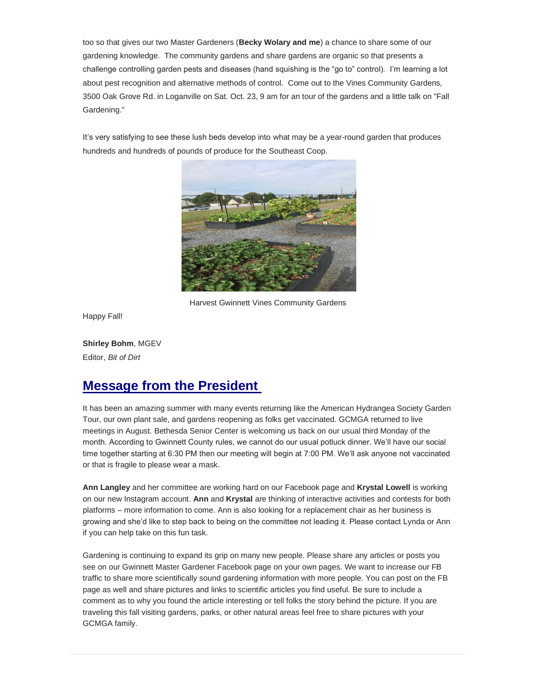too so that gives our two Master Gardeners (**Becky Wolary and me**) a chance to share some of our gardening knowledge. The community gardens and share gardens are organic so that presents a challenge controlling garden pests and diseases (hand squishing is the "go to" control). I'm learning a lot about pest recognition and alternative methods of control. Come out to the Vines Community Gardens, 3500 Oak Grove Rd. in Loganville on Sat. Oct. 23, 9 am for an tour of the gardens and a little talk on "Fall Gardening."

It's very satisfying to see these lush beds develop into what may be a year-round garden that produces hundreds and hundreds of pounds of produce for the Southeast Coop.



Harvest Gwinnett Vines Community Gardens

Happy Fall!

**Shirley Bohm**, MGEV Editor, *Bit of Dirt*

### **Message from the President**

It has been an amazing summer with many events returning like the American Hydrangea Society Garden Tour, our own plant sale, and gardens reopening as folks get vaccinated. GCMGA returned to live meetings in August. Bethesda Senior Center is welcoming us back on our usual third Monday of the month. According to Gwinnett County rules, we cannot do our usual potluck dinner. We'll have our social time together starting at 6:30 PM then our meeting will begin at 7:00 PM. We'll ask anyone not vaccinated or that is fragile to please wear a mask.

**Ann Langley** and her committee are working hard on our Facebook page and **Krystal Lowell** is working on our new Instagram account. **Ann** and **Krystal** are thinking of interactive activities and contests for both platforms – more information to come. Ann is also looking for a replacement chair as her business is growing and she'd like to step back to being on the committee not leading it. Please contact Lynda or Ann if you can help take on this fun task.

Gardening is continuing to expand its grip on many new people. Please share any articles or posts you see on our Gwinnett Master Gardener Facebook page on your own pages. We want to increase our FB traffic to share more scientifically sound gardening information with more people. You can post on the FB page as well and share pictures and links to scientific articles you find useful. Be sure to include a comment as to why you found the article interesting or tell folks the story behind the picture. If you are traveling this fall visiting gardens, parks, or other natural areas feel free to share pictures with your GCMGA family.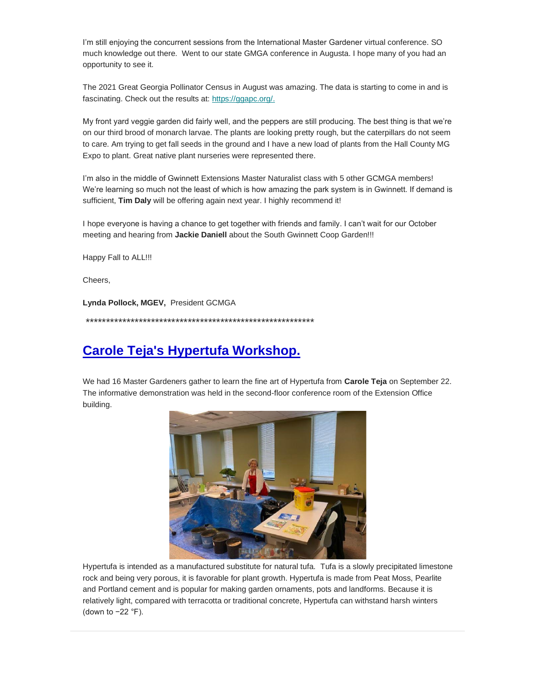I'm still enjoying the concurrent sessions from the International Master Gardener virtual conference. SO much knowledge out there. Went to our state GMGA conference in Augusta. I hope many of you had an opportunity to see it.

The 2021 Great Georgia Pollinator Census in August was amazing. The data is starting to come in and is fascinating. Check out the results at: [https://ggapc.org/](https://gwinnettmastergardeners.us19.list-manage.com/track/click?u=714bdefef4a5e5b8e1fb78c0c&id=9e7940f6c1&e=eb08b8c5f4)[.](https://gwinnettmastergardeners.us19.list-manage.com/track/click?u=714bdefef4a5e5b8e1fb78c0c&id=e67818fcf9&e=eb08b8c5f4)

My front yard veggie garden did fairly well, and the peppers are still producing. The best thing is that we're on our third brood of monarch larvae. The plants are looking pretty rough, but the caterpillars do not seem to care. Am trying to get fall seeds in the ground and I have a new load of plants from the Hall County MG Expo to plant. Great native plant nurseries were represented there.

I'm also in the middle of Gwinnett Extensions Master Naturalist class with 5 other GCMGA members! We're learning so much not the least of which is how amazing the park system is in Gwinnett. If demand is sufficient, **Tim Daly** will be offering again next year. I highly recommend it!

I hope everyone is having a chance to get together with friends and family. I can't wait for our October meeting and hearing from **Jackie Daniell** about the South Gwinnett Coop Garden!!!

Happy Fall to ALL!!!

Cheers,

**Lynda Pollock, MGEV,** President GCMGA

\*\*\*\*\*\*\*\*\*\*\*\*\*\*\*\*\*\*\*\*\*\*\*\*\*\*\*\*\*\*\*\*\*\*\*\*\*\*\*\*\*\*\*\*\*\*\*\*\*\*\*\*\*\*\*\*

#### **Carole Teja's Hypertufa Workshop.**

We had 16 Master Gardeners gather to learn the fine art of Hypertufa from **Carole Teja** on September 22. The informative demonstration was held in the second-floor conference room of the Extension Office building.



Hypertufa is intended as a manufactured substitute for natural tufa. Tufa is a slowly precipitated limestone rock and being very porous, it is favorable for plant growth. Hypertufa is made from Peat Moss, Pearlite and Portland cement and is popular for making garden ornaments, pots and landforms. Because it is relatively light, compared with terracotta or traditional concrete, Hypertufa can withstand harsh winters (down to −22 °F).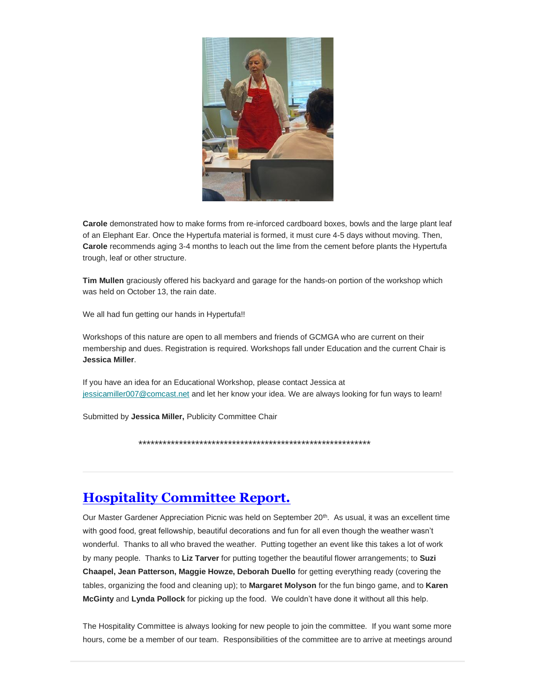

**Carole** demonstrated how to make forms from re-inforced cardboard boxes, bowls and the large plant leaf of an Elephant Ear. Once the Hypertufa material is formed, it must cure 4-5 days without moving. Then, **Carole** recommends aging 3-4 months to leach out the lime from the cement before plants the Hypertufa trough, leaf or other structure.

**Tim Mullen** graciously offered his backyard and garage for the hands-on portion of the workshop which was held on October 13, the rain date.

We all had fun getting our hands in Hypertufa!!

Workshops of this nature are open to all members and friends of GCMGA who are current on their membership and dues. Registration is required. Workshops fall under Education and the current Chair is **Jessica Miller**.

If you have an idea for an Educational Workshop, please contact Jessica at [jessicamiller007@comcast.net](mailto:jessicamiller007@comcast.net) and let her know your idea. We are always looking for fun ways to learn!

Submitted by **Jessica Miller,** Publicity Committee Chair

\*\*\*\*\*\*\*\*\*\*\*\*\*\*\*\*\*\*\*\*\*\*\*\*\*\*\*\*\*\*\*\*\*\*\*\*\*\*\*\*\*\*\*\*\*\*\*\*\*\*\*\*\*\*\*\*\*

### **Hospitality Committee Report.**

Our Master Gardener Appreciation Picnic was held on September 20<sup>th</sup>. As usual, it was an excellent time with good food, great fellowship, beautiful decorations and fun for all even though the weather wasn't wonderful. Thanks to all who braved the weather. Putting together an event like this takes a lot of work by many people. Thanks to **Liz Tarver** for putting together the beautiful flower arrangements; to **Suzi Chaapel, Jean Patterson, Maggie Howze, Deborah Duello** for getting everything ready (covering the tables, organizing the food and cleaning up); to **Margaret Molyson** for the fun bingo game, and to **Karen McGinty** and **Lynda Pollock** for picking up the food. We couldn't have done it without all this help.

The Hospitality Committee is always looking for new people to join the committee. If you want some more hours, come be a member of our team. Responsibilities of the committee are to arrive at meetings around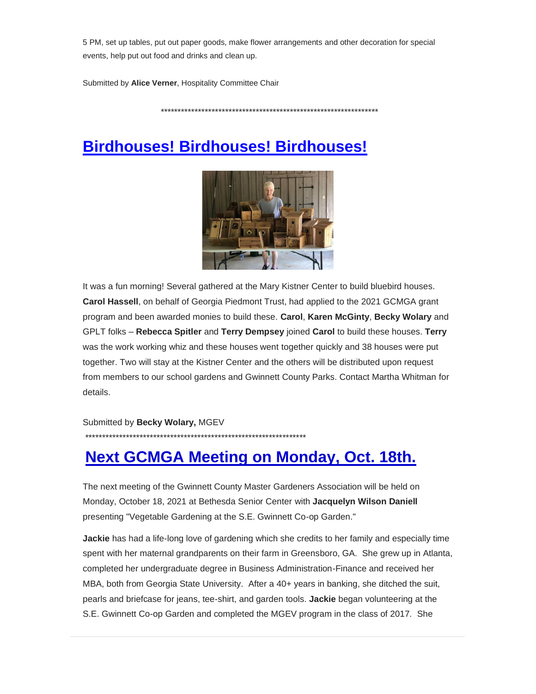5 PM, set up tables, put out paper goods, make flower arrangements and other decoration for special events, help put out food and drinks and clean up.

Submitted by **Alice Verner**, Hospitality Committee Chair

\*\*\*\*\*\*\*\*\*\*\*\*\*\*\*\*\*\*\*\*\*\*\*\*\*\*\*\*\*\*\*\*\*\*\*\*\*\*\*\*\*\*\*\*\*\*\*\*\*\*\*\*\*\*\*\*\*\*\*\*\*\*\*\*

# **Birdhouses! Birdhouses! Birdhouses!**



It was a fun morning! Several gathered at the Mary Kistner Center to build bluebird houses. **Carol Hassell**, on behalf of Georgia Piedmont Trust, had applied to the 2021 GCMGA grant program and been awarded monies to build these. **Carol**, **Karen McGinty**, **Becky Wolary** and GPLT folks – **Rebecca Spitler** and **Terry Dempsey** joined **Carol** to build these houses. **Terry**  was the work working whiz and these houses went together quickly and 38 houses were put together. Two will stay at the Kistner Center and the others will be distributed upon request from members to our school gardens and Gwinnett County Parks. Contact Martha Whitman for details.

Submitted by **Becky Wolary,** MGEV

\*\*\*\*\*\*\*\*\*\*\*\*\*\*\*\*\*\*\*\*\*\*\*\*\*\*\*\*\*\*\*\*\*\*\*\*\*\*\*\*\*\*\*\*\*\*\*\*\*\*\*\*\*\*\*\*\*\*\*\*\*\*\*\*\*

# **Next GCMGA Meeting on Monday, Oct. 18th.**

The next meeting of the Gwinnett County Master Gardeners Association will be held on Monday, October 18, 2021 at Bethesda Senior Center with **Jacquelyn Wilson Daniell** presenting "Vegetable Gardening at the S.E. Gwinnett Co-op Garden."

**Jackie** has had a life-long love of gardening which she credits to her family and especially time spent with her maternal grandparents on their farm in Greensboro, GA. She grew up in Atlanta, completed her undergraduate degree in Business Administration-Finance and received her MBA, both from Georgia State University. After a 40+ years in banking, she ditched the suit, pearls and briefcase for jeans, tee-shirt, and garden tools. **Jackie** began volunteering at the S.E. Gwinnett Co-op Garden and completed the MGEV program in the class of 2017. She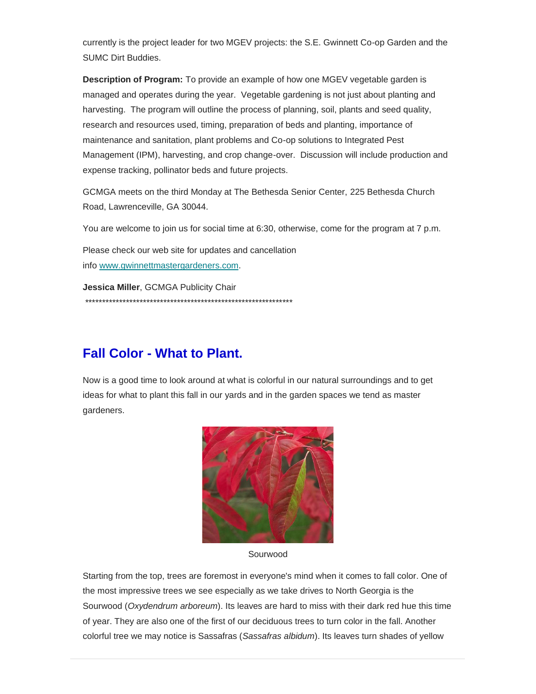currently is the project leader for two MGEV projects: the S.E. Gwinnett Co-op Garden and the SUMC Dirt Buddies.

**Description of Program:** To provide an example of how one MGEV vegetable garden is managed and operates during the year. Vegetable gardening is not just about planting and harvesting. The program will outline the process of planning, soil, plants and seed quality, research and resources used, timing, preparation of beds and planting, importance of maintenance and sanitation, plant problems and Co-op solutions to Integrated Pest Management (IPM), harvesting, and crop change-over. Discussion will include production and expense tracking, pollinator beds and future projects.

GCMGA meets on the third Monday at The Bethesda Senior Center, 225 Bethesda Church Road, Lawrenceville, GA 30044.

You are welcome to join us for social time at 6:30, otherwise, come for the program at 7 p.m.

Please check our web site for updates and cancellation info [www.gwinnettmastergardeners.com.](mailto:www.gwinnettmastergardeners.com)

**Jessica Miller**, GCMGA Publicity Chair \*\*\*\*\*\*\*\*\*\*\*\*\*\*\*\*\*\*\*\*\*\*\*\*\*\*\*\*\*\*\*\*\*\*\*\*\*\*\*\*\*\*\*\*\*\*\*\*\*\*\*\*\*\*\*\*\*\*\*\*\*

## **Fall Color - What to Plant.**

Now is a good time to look around at what is colorful in our natural surroundings and to get ideas for what to plant this fall in our yards and in the garden spaces we tend as master gardeners.



Sourwood

Starting from the top, trees are foremost in everyone's mind when it comes to fall color. One of the most impressive trees we see especially as we take drives to North Georgia is the Sourwood (*Oxydendrum arboreum*). Its leaves are hard to miss with their dark red hue this time of year. They are also one of the first of our deciduous trees to turn color in the fall. Another colorful tree we may notice is Sassafras (*Sassafras albidum*). Its leaves turn shades of yellow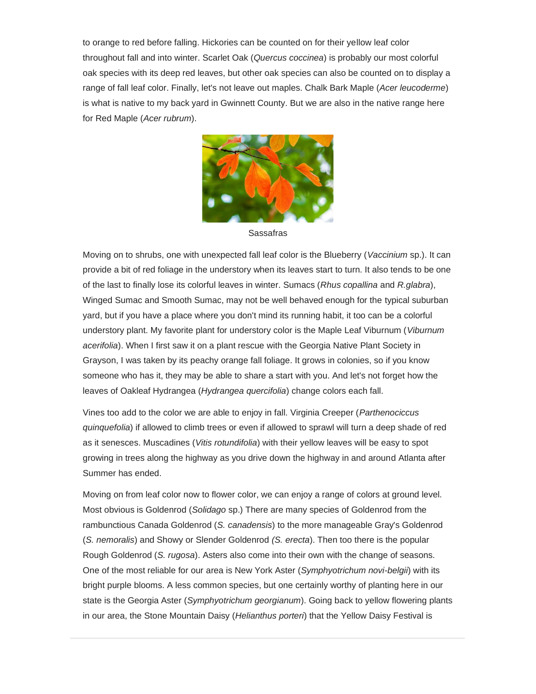to orange to red before falling. Hickories can be counted on for their yellow leaf color throughout fall and into winter. Scarlet Oak (*Quercus coccinea*) is probably our most colorful oak species with its deep red leaves, but other oak species can also be counted on to display a range of fall leaf color. Finally, let's not leave out maples. Chalk Bark Maple (*Acer leucoderme*) is what is native to my back yard in Gwinnett County. But we are also in the native range here for Red Maple (*Acer rubrum*).



Sassafras

Moving on to shrubs, one with unexpected fall leaf color is the Blueberry (*Vaccinium* sp.). It can provide a bit of red foliage in the understory when its leaves start to turn. It also tends to be one of the last to finally lose its colorful leaves in winter. Sumacs (*Rhus copallina* and *R.glabra*), Winged Sumac and Smooth Sumac, may not be well behaved enough for the typical suburban yard, but if you have a place where you don't mind its running habit, it too can be a colorful understory plant. My favorite plant for understory color is the Maple Leaf Viburnum (*Viburnum acerifolia*). When I first saw it on a plant rescue with the Georgia Native Plant Society in Grayson, I was taken by its peachy orange fall foliage. It grows in colonies, so if you know someone who has it, they may be able to share a start with you. And let's not forget how the leaves of Oakleaf Hydrangea (*Hydrangea quercifolia*) change colors each fall.

Vines too add to the color we are able to enjoy in fall. Virginia Creeper (*Parthenociccus quinquefolia*) if allowed to climb trees or even if allowed to sprawl will turn a deep shade of red as it senesces. Muscadines (*Vitis rotundifolia*) with their yellow leaves will be easy to spot growing in trees along the highway as you drive down the highway in and around Atlanta after Summer has ended.

Moving on from leaf color now to flower color, we can enjoy a range of colors at ground level. Most obvious is Goldenrod (*Solidago* sp.) There are many species of Goldenrod from the rambunctious Canada Goldenrod (*S. canadensis*) to the more manageable Gray's Goldenrod (*S. nemoralis*) and Showy or Slender Goldenrod *(S. erecta*). Then too there is the popular Rough Goldenrod (*S. rugosa*). Asters also come into their own with the change of seasons. One of the most reliable for our area is New York Aster (*Symphyotrichum novi-belgii*) with its bright purple blooms. A less common species, but one certainly worthy of planting here in our state is the Georgia Aster (*Symphyotrichum georgianum*). Going back to yellow flowering plants in our area, the Stone Mountain Daisy (*Helianthus porteri*) that the Yellow Daisy Festival is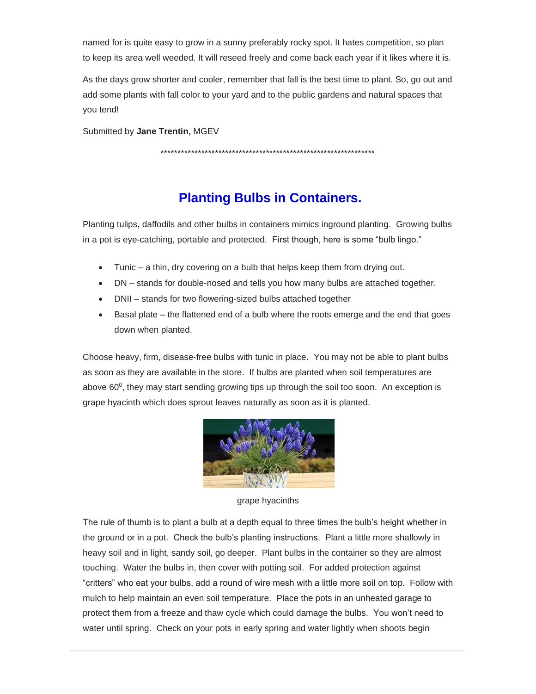named for is quite easy to grow in a sunny preferably rocky spot. It hates competition, so plan to keep its area well weeded. It will reseed freely and come back each year if it likes where it is.

As the days grow shorter and cooler, remember that fall is the best time to plant. So, go out and add some plants with fall color to your yard and to the public gardens and natural spaces that you tend!

Submitted by **Jane Trentin,** MGEV

\*\*\*\*\*\*\*\*\*\*\*\*\*\*\*\*\*\*\*\*\*\*\*\*\*\*\*\*\*\*\*\*\*\*\*\*\*\*\*\*\*\*\*\*\*\*\*\*\*\*\*\*\*\*\*\*\*\*\*\*\*\*\*

## **Planting Bulbs in Containers.**

Planting tulips, daffodils and other bulbs in containers mimics inground planting. Growing bulbs in a pot is eye-catching, portable and protected. First though, here is some "bulb lingo."

- Tunic a thin, dry covering on a bulb that helps keep them from drying out.
- DN stands for double-nosed and tells you how many bulbs are attached together.
- DNII stands for two flowering-sized bulbs attached together
- Basal plate the flattened end of a bulb where the roots emerge and the end that goes down when planted.

Choose heavy, firm, disease-free bulbs with tunic in place. You may not be able to plant bulbs as soon as they are available in the store. If bulbs are planted when soil temperatures are above 60 $^0$ , they may start sending growing tips up through the soil too soon. An exception is grape hyacinth which does sprout leaves naturally as soon as it is planted.



grape hyacinths

The rule of thumb is to plant a bulb at a depth equal to three times the bulb's height whether in the ground or in a pot. Check the bulb's planting instructions. Plant a little more shallowly in heavy soil and in light, sandy soil, go deeper. Plant bulbs in the container so they are almost touching. Water the bulbs in, then cover with potting soil. For added protection against "critters" who eat your bulbs, add a round of wire mesh with a little more soil on top. Follow with mulch to help maintain an even soil temperature. Place the pots in an unheated garage to protect them from a freeze and thaw cycle which could damage the bulbs. You won't need to water until spring. Check on your pots in early spring and water lightly when shoots begin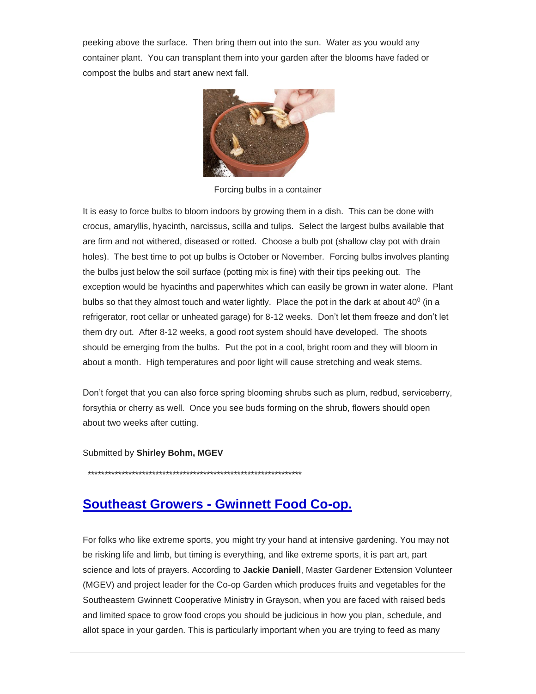peeking above the surface. Then bring them out into the sun. Water as you would any container plant. You can transplant them into your garden after the blooms have faded or compost the bulbs and start anew next fall.



Forcing bulbs in a container

It is easy to force bulbs to bloom indoors by growing them in a dish. This can be done with crocus, amaryllis, hyacinth, narcissus, scilla and tulips. Select the largest bulbs available that are firm and not withered, diseased or rotted. Choose a bulb pot (shallow clay pot with drain holes). The best time to pot up bulbs is October or November. Forcing bulbs involves planting the bulbs just below the soil surface (potting mix is fine) with their tips peeking out. The exception would be hyacinths and paperwhites which can easily be grown in water alone. Plant bulbs so that they almost touch and water lightly. Place the pot in the dark at about  $40^0$  (in a refrigerator, root cellar or unheated garage) for 8-12 weeks. Don't let them freeze and don't let them dry out. After 8-12 weeks, a good root system should have developed. The shoots should be emerging from the bulbs. Put the pot in a cool, bright room and they will bloom in about a month. High temperatures and poor light will cause stretching and weak stems.

Don't forget that you can also force spring blooming shrubs such as plum, redbud, serviceberry, forsythia or cherry as well. Once you see buds forming on the shrub, flowers should open about two weeks after cutting.

Submitted by **Shirley Bohm, MGEV**

\*\*\*\*\*\*\*\*\*\*\*\*\*\*\*\*\*\*\*\*\*\*\*\*\*\*\*\*\*\*\*\*\*\*\*\*\*\*\*\*\*\*\*\*\*\*\*\*\*\*\*\*\*\*\*\*\*\*\*\*\*\*\*

### **Southeast Growers - Gwinnett Food Co-op.**

For folks who like extreme sports, you might try your hand at intensive gardening. You may not be risking life and limb, but timing is everything, and like extreme sports, it is part art, part science and lots of prayers. According to **Jackie Daniell**, Master Gardener Extension Volunteer (MGEV) and project leader for the Co-op Garden which produces fruits and vegetables for the Southeastern Gwinnett Cooperative Ministry in Grayson, when you are faced with raised beds and limited space to grow food crops you should be judicious in how you plan, schedule, and allot space in your garden. This is particularly important when you are trying to feed as many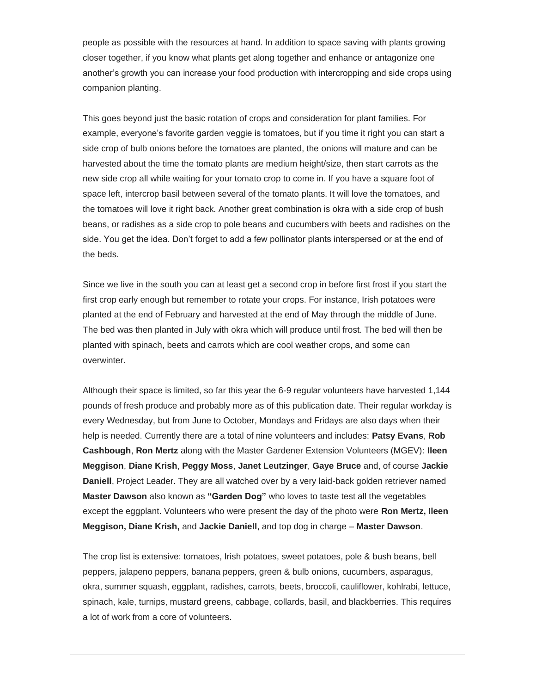people as possible with the resources at hand. In addition to space saving with plants growing closer together, if you know what plants get along together and enhance or antagonize one another's growth you can increase your food production with intercropping and side crops using companion planting.

This goes beyond just the basic rotation of crops and consideration for plant families. For example, everyone's favorite garden veggie is tomatoes, but if you time it right you can start a side crop of bulb onions before the tomatoes are planted, the onions will mature and can be harvested about the time the tomato plants are medium height/size, then start carrots as the new side crop all while waiting for your tomato crop to come in. If you have a square foot of space left, intercrop basil between several of the tomato plants. It will love the tomatoes, and the tomatoes will love it right back. Another great combination is okra with a side crop of bush beans, or radishes as a side crop to pole beans and cucumbers with beets and radishes on the side. You get the idea. Don't forget to add a few pollinator plants interspersed or at the end of the beds.

Since we live in the south you can at least get a second crop in before first frost if you start the first crop early enough but remember to rotate your crops. For instance, Irish potatoes were planted at the end of February and harvested at the end of May through the middle of June. The bed was then planted in July with okra which will produce until frost. The bed will then be planted with spinach, beets and carrots which are cool weather crops, and some can overwinter.

Although their space is limited, so far this year the 6-9 regular volunteers have harvested 1,144 pounds of fresh produce and probably more as of this publication date. Their regular workday is every Wednesday, but from June to October, Mondays and Fridays are also days when their help is needed. Currently there are a total of nine volunteers and includes: **Patsy Evans**, **Rob Cashbough**, **Ron Mertz** along with the Master Gardener Extension Volunteers (MGEV): **Ileen Meggison**, **Diane Krish**, **Peggy Moss**, **Janet Leutzinger**, **Gaye Bruce** and, of course **Jackie Daniell**, Project Leader. They are all watched over by a very laid-back golden retriever named **Master Dawson** also known as **"Garden Dog"** who loves to taste test all the vegetables except the eggplant. Volunteers who were present the day of the photo were **Ron Mertz, Ileen Meggison, Diane Krish,** and **Jackie Daniell**, and top dog in charge – **Master Dawson**.

The crop list is extensive: tomatoes, Irish potatoes, sweet potatoes, pole & bush beans, bell peppers, jalapeno peppers, banana peppers, green & bulb onions, cucumbers, asparagus, okra, summer squash, eggplant, radishes, carrots, beets, broccoli, cauliflower, kohlrabi, lettuce, spinach, kale, turnips, mustard greens, cabbage, collards, basil, and blackberries. This requires a lot of work from a core of volunteers.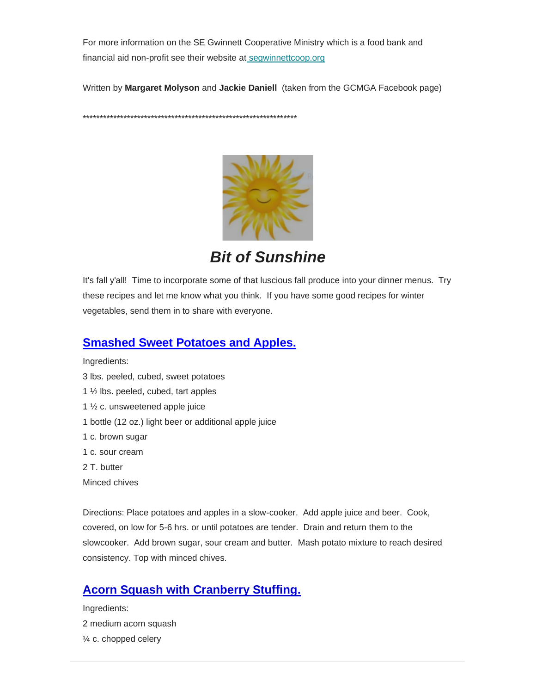For more information on the SE Gwinnett Cooperative Ministry which is a food bank and financial aid non-profi[t](mailto:segwinnettcoop.org) see their website at seqwinnettcoop.org

Written by **Margaret Molyson** and **Jackie Daniell** (taken from the GCMGA Facebook page)

\*\*\*\*\*\*\*\*\*\*\*\*\*\*\*\*\*\*\*\*\*\*\*\*\*\*\*\*\*\*\*\*\*\*\*\*\*\*\*\*\*\*\*\*\*\*\*\*\*\*\*\*\*\*\*\*\*\*\*\*\*\*\*



*Bit of Sunshine*

It's fall y'all! Time to incorporate some of that luscious fall produce into your dinner menus. Try these recipes and let me know what you think. If you have some good recipes for winter vegetables, send them in to share with everyone.

#### **Smashed Sweet Potatoes and Apples.**

Ingredients: 3 lbs. peeled, cubed, sweet potatoes 1 ½ lbs. peeled, cubed, tart apples 1 ½ c. unsweetened apple juice 1 bottle (12 oz.) light beer or additional apple juice 1 c. brown sugar 1 c. sour cream 2 T. butter Minced chives

Directions: Place potatoes and apples in a slow-cooker. Add apple juice and beer. Cook, covered, on low for 5-6 hrs. or until potatoes are tender. Drain and return them to the slowcooker. Add brown sugar, sour cream and butter. Mash potato mixture to reach desired consistency. Top with minced chives.

### **Acorn Squash with Cranberry Stuffing.**

Ingredients: 2 medium acorn squash ¼ c. chopped celery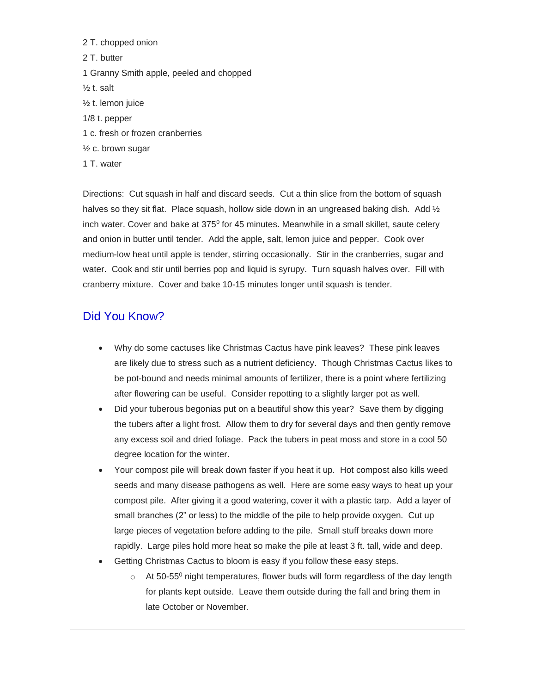- 2 T. chopped onion 2 T. butter 1 Granny Smith apple, peeled and chopped  $\frac{1}{2}$  t. salt ½ t. lemon juice 1/8 t. pepper 1 c. fresh or frozen cranberries ½ c. brown sugar
- 1 T. water

Directions: Cut squash in half and discard seeds. Cut a thin slice from the bottom of squash halves so they sit flat. Place squash, hollow side down in an ungreased baking dish. Add  $\frac{1}{2}$ inch water. Cover and bake at  $375^0$  for 45 minutes. Meanwhile in a small skillet, saute celery and onion in butter until tender. Add the apple, salt, lemon juice and pepper. Cook over medium-low heat until apple is tender, stirring occasionally. Stir in the cranberries, sugar and water. Cook and stir until berries pop and liquid is syrupy. Turn squash halves over. Fill with cranberry mixture. Cover and bake 10-15 minutes longer until squash is tender.

#### Did You Know?

- Why do some cactuses like Christmas Cactus have pink leaves? These pink leaves are likely due to stress such as a nutrient deficiency. Though Christmas Cactus likes to be pot-bound and needs minimal amounts of fertilizer, there is a point where fertilizing after flowering can be useful. Consider repotting to a slightly larger pot as well.
- Did your tuberous begonias put on a beautiful show this year? Save them by digging the tubers after a light frost. Allow them to dry for several days and then gently remove any excess soil and dried foliage. Pack the tubers in peat moss and store in a cool 50 degree location for the winter.
- Your compost pile will break down faster if you heat it up. Hot compost also kills weed seeds and many disease pathogens as well. Here are some easy ways to heat up your compost pile. After giving it a good watering, cover it with a plastic tarp. Add a layer of small branches (2" or less) to the middle of the pile to help provide oxygen. Cut up large pieces of vegetation before adding to the pile. Small stuff breaks down more rapidly. Large piles hold more heat so make the pile at least 3 ft. tall, wide and deep.
- Getting Christmas Cactus to bloom is easy if you follow these easy steps.
	- $\circ$  At 50-55<sup>0</sup> night temperatures, flower buds will form regardless of the day length for plants kept outside. Leave them outside during the fall and bring them in late October or November.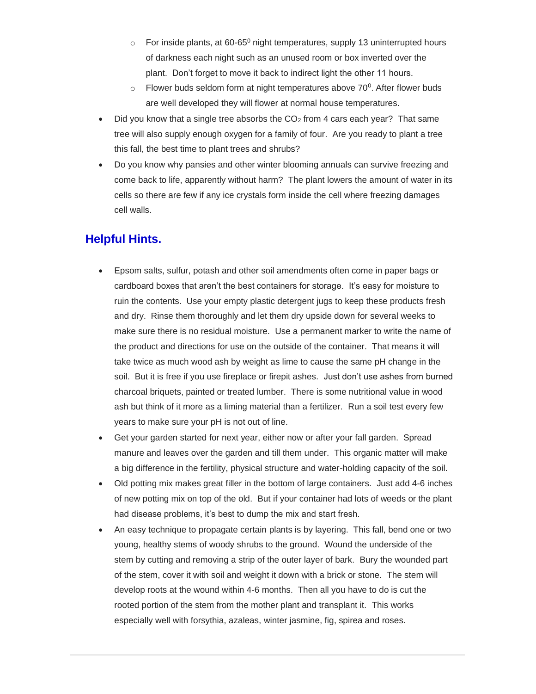- $\circ$  For inside plants, at 60-65<sup>0</sup> night temperatures, supply 13 uninterrupted hours of darkness each night such as an unused room or box inverted over the plant. Don't forget to move it back to indirect light the other 11 hours.
- $\circ$  Flower buds seldom form at night temperatures above 70<sup>0</sup>. After flower buds are well developed they will flower at normal house temperatures.
- Did you know that a single tree absorbs the  $CO<sub>2</sub>$  from 4 cars each year? That same tree will also supply enough oxygen for a family of four. Are you ready to plant a tree this fall, the best time to plant trees and shrubs?
- Do you know why pansies and other winter blooming annuals can survive freezing and come back to life, apparently without harm? The plant lowers the amount of water in its cells so there are few if any ice crystals form inside the cell where freezing damages cell walls.

#### **Helpful Hints.**

- Epsom salts, sulfur, potash and other soil amendments often come in paper bags or cardboard boxes that aren't the best containers for storage. It's easy for moisture to ruin the contents. Use your empty plastic detergent jugs to keep these products fresh and dry. Rinse them thoroughly and let them dry upside down for several weeks to make sure there is no residual moisture. Use a permanent marker to write the name of the product and directions for use on the outside of the container. That means it will take twice as much wood ash by weight as lime to cause the same pH change in the soil. But it is free if you use fireplace or firepit ashes. Just don't use ashes from burned charcoal briquets, painted or treated lumber. There is some nutritional value in wood ash but think of it more as a liming material than a fertilizer. Run a soil test every few years to make sure your pH is not out of line.
- Get your garden started for next year, either now or after your fall garden. Spread manure and leaves over the garden and till them under. This organic matter will make a big difference in the fertility, physical structure and water-holding capacity of the soil.
- Old potting mix makes great filler in the bottom of large containers. Just add 4-6 inches of new potting mix on top of the old. But if your container had lots of weeds or the plant had disease problems, it's best to dump the mix and start fresh.
- An easy technique to propagate certain plants is by layering. This fall, bend one or two young, healthy stems of woody shrubs to the ground. Wound the underside of the stem by cutting and removing a strip of the outer layer of bark. Bury the wounded part of the stem, cover it with soil and weight it down with a brick or stone. The stem will develop roots at the wound within 4-6 months. Then all you have to do is cut the rooted portion of the stem from the mother plant and transplant it. This works especially well with forsythia, azaleas, winter jasmine, fig, spirea and roses.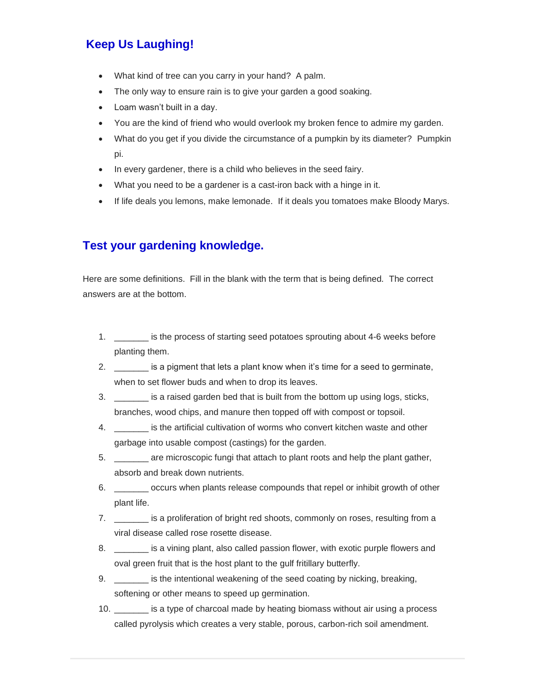## **Keep Us Laughing!**

- What kind of tree can you carry in your hand? A palm.
- The only way to ensure rain is to give your garden a good soaking.
- Loam wasn't built in a day.
- You are the kind of friend who would overlook my broken fence to admire my garden.
- What do you get if you divide the circumstance of a pumpkin by its diameter? Pumpkin pi.
- In every gardener, there is a child who believes in the seed fairy.
- What you need to be a gardener is a cast-iron back with a hinge in it.
- If life deals you lemons, make lemonade. If it deals you tomatoes make Bloody Marys.

#### **Test your gardening knowledge.**

Here are some definitions. Fill in the blank with the term that is being defined. The correct answers are at the bottom.

- 1. \_\_\_\_\_\_\_ is the process of starting seed potatoes sprouting about 4-6 weeks before planting them.
- 2. **\_\_\_\_\_\_** is a pigment that lets a plant know when it's time for a seed to germinate, when to set flower buds and when to drop its leaves.
- 3. \_\_\_\_\_\_\_ is a raised garden bed that is built from the bottom up using logs, sticks, branches, wood chips, and manure then topped off with compost or topsoil.
- 4. \_\_\_\_\_\_\_ is the artificial cultivation of worms who convert kitchen waste and other garbage into usable compost (castings) for the garden.
- 5. \_\_\_\_\_\_\_ are microscopic fungi that attach to plant roots and help the plant gather, absorb and break down nutrients.
- 6. \_\_\_\_\_\_\_ occurs when plants release compounds that repel or inhibit growth of other plant life.
- 7. \_\_\_\_\_\_\_ is a proliferation of bright red shoots, commonly on roses, resulting from a viral disease called rose rosette disease.
- 8. \_\_\_\_\_\_\_ is a vining plant, also called passion flower, with exotic purple flowers and oval green fruit that is the host plant to the gulf fritillary butterfly.
- 9. \_\_\_\_\_\_\_\_ is the intentional weakening of the seed coating by nicking, breaking, softening or other means to speed up germination.
- 10. \_\_\_\_\_\_\_ is a type of charcoal made by heating biomass without air using a process called pyrolysis which creates a very stable, porous, carbon-rich soil amendment.